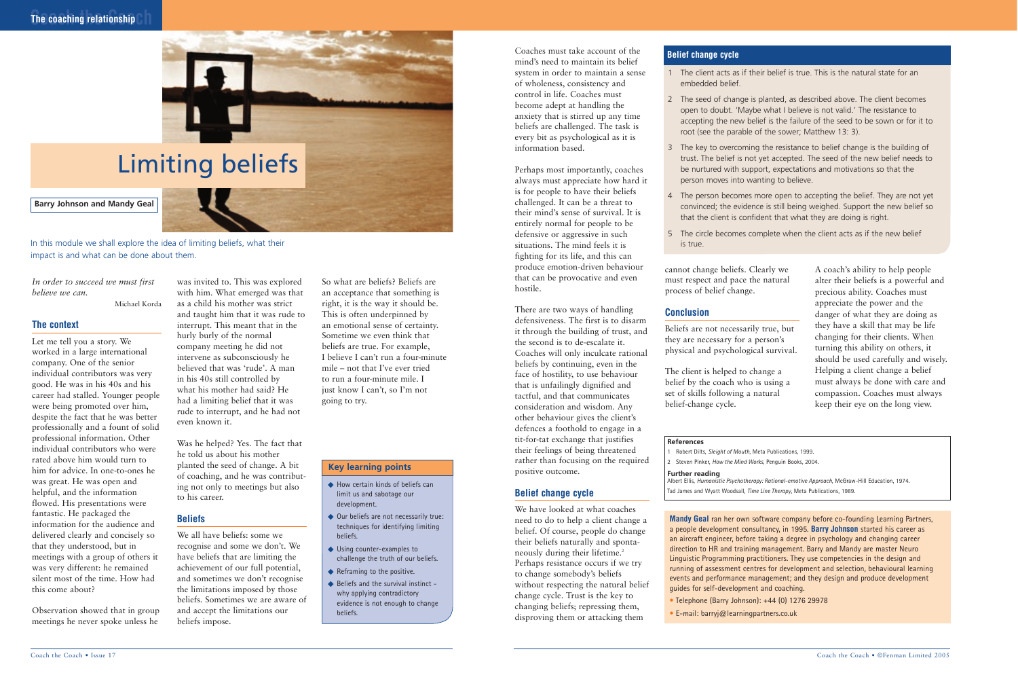*In order to succeed we must first believe we can.* 

Michael Korda

#### **The context**

Let me tell you a story. We worked in a large international company. One of the senior individual contributors was very good. He was in his 40s and his career had stalled. Younger people were being promoted over him, despite the fact that he was better professionally and a fount of solid professional information. Other individual contributors who were rated above him would turn to him for advice. In one-to-ones he was great. He was open and helpful, and the information flowed. His presentations were fantastic. He packaged the information for the audience and delivered clearly and concisely so that they understood, but in meetings with a group of others it was very different: he remained silent most of the time. How had this come about?

Observation showed that in group meetings he never spoke unless he

was invited to. This was explored

with him. What emerged was that as a child his mother was strict and taught him that it was rude to interrupt. This meant that in the hurly burly of the normal company meeting he did not intervene as subconsciously he believed that was 'rude'. A man in his 40s still controlled by what his mother had said? He had a limiting belief that it was rude to interrupt, and he had not even known it.

Was he helped? Yes. The fact that he told us about his mother planted the seed of change. A bit of coaching, and he was contributing not only to meetings but also to his career.

#### **Beliefs**

We all have beliefs: some we recognise and some we don't. We have beliefs that are limiting the achievement of our full potential, and sometimes we don't recognise the limitations imposed by those beliefs. Sometimes we are aware of and accept the limitations our beliefs impose.

So what are beliefs? Beliefs are an acceptance that something is right, it is the way it should be. This is often underpinned by an emotional sense of certainty. Sometime we even think that beliefs are true. For example, I believe I can't run a four-minute mile – not that I've ever tried to run a four-minute mile. I just know I can't, so I'm not going to try.

Coaches must take account of the mind's need to maintain its belief system in order to maintain a sense of wholeness, consistency and control in life. Coaches must become adept at handling the anxiety that is stirred up any time beliefs are challenged. The task is every bit as psychological as it is information based.

- ◆ How certain kinds of beliefs can limit us and sabotage our development.
- ◆ Our beliefs are not necessarily true: techniques for identifying limiting beliefs.
- ◆ Using counter-examples to challenge the truth of our beliefs.
- ◆ Reframing to the positive.
- ◆ Beliefs and the survival instinct why applying contradictory evidence is not enough to change beliefs.

Perhaps most importantly, coaches always must appreciate how hard it is for people to have their beliefs challenged. It can be a threat to their mind's sense of survival. It is entirely normal for people to be defensive or aggressive in such situations. The mind feels it is fighting for its life, and this can produce emotion-driven behaviour that can be provocative and even hostile.

There are two ways of handling defensiveness. The first is to disarm it through the building of trust, and the second is to de-escalate it. Coaches will only inculcate rational beliefs by continuing, even in the face of hostility, to use behaviour that is unfailingly dignified and tactful, and that communicates consideration and wisdom. Any other behaviour gives the client's defences a foothold to engage in a tit-for-tat exchange that justifies their feelings of being threatened rather than focusing on the required positive outcome.

#### **Belief change cycle**

We have looked at what coaches need to do to help a client change a belief. Of course, people do change their beliefs naturally and spontaneously during their lifetime.<sup>2</sup> Perhaps resistance occurs if we try to change somebody's beliefs without respecting the natural belief change cycle. Trust is the key to changing beliefs; repressing them, disproving them or attacking them

cannot change beliefs. Clearly we must respect and pace the natural process of belief change.

#### **Conclusion**

Beliefs are not necessarily true, but they are necessary for a person's physical and psychological survival.

The client is helped to change a belief by the coach who is using a set of skills following a natural belief-change cycle.

A coach's ability to help people alter their beliefs is a powerful and precious ability. Coaches must appreciate the power and the danger of what they are doing as they have a skill that may be life changing for their clients. When turning this ability on others, it should be used carefully and wisely. Helping a client change a belief must always be done with care and compassion. Coaches must always keep their eye on the long view.



# Limiting beliefs

#### **Barry Johnson and Mandy Geal**

In this module we shall explore the idea of limiting beliefs, what their impact is and what can be done about them.

#### **Key learning points**

**Mandy Geal** ran her own software company before co-founding Learning Partners, a people development consultancy, in 1995. **Barry Johnson** started his career as an aircraft engineer, before taking a degree in psychology and changing career direction to HR and training management. Barry and Mandy are master Neuro Linguistic Programming practitioners. They use competencies in the design and running of assessment centres for development and selection, behavioural learning events and performance management; and they design and produce development guides for self-development and coaching.

- Telephone (Barry Johnson): +44 (0) 1276 29978
- E-mail: barryj@learningpartners.co.uk

#### **References**

1 Robert Dilts, *Sleight of Mouth*, Meta Publications, 1999. 2 Steven Pinker, *How the Mind Works*, Penguin Books, 2004.

#### **Further reading**

Albert Ellis, *Humanistic Psychotherapy: Rational-emotive Approach*, McGraw-Hill Education, 1974. Tad James and Wyatt Woodsall, *Time Line Therapy*, Meta Publications, 1989.

- 1 The client acts as if their belief is true. This is the natural state for an embedded belief.
- 2 The seed of change is planted, as described above. The client becomes open to doubt. 'Maybe what I believe is not valid.' The resistance to accepting the new belief is the failure of the seed to be sown or for it to root (see the parable of the sower; Matthew 13: 3).
- 3 The key to overcoming the resistance to belief change is the building of trust. The belief is not yet accepted. The seed of the new belief needs to be nurtured with support, expectations and motivations so that the person moves into wanting to believe.
- 4 The person becomes more open to accepting the belief. They are not yet convinced; the evidence is still being weighed. Support the new belief so that the client is confident that what they are doing is right.
- 5 The circle becomes complete when the client acts as if the new belief is true.

#### **Belief change cycle**